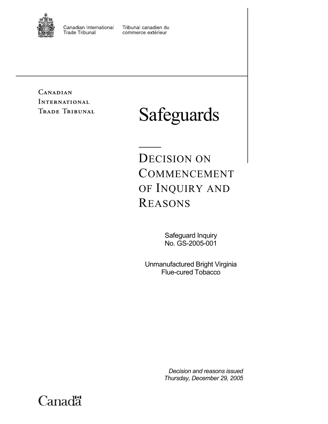

Canadian International **Trade Tribunal** 

Tribunal canadien du commerce extérieur

CANADIAN **INTERNATIONAL** TRADE TRIBUNAL

# Safeguards

DECISION ON COMMENCEMENT OF INQUIRY AND REASONS

> Safeguard Inquiry No. GS-2005-001

Unmanufactured Bright Virginia Flue-cured Tobacco

> *Decision and reasons issued Thursday, December 29, 2005*

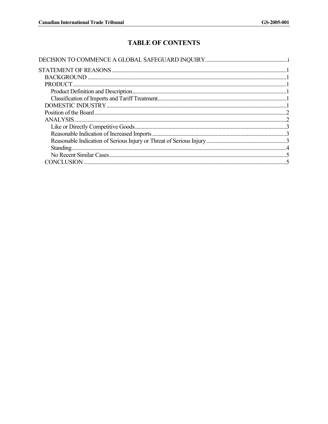# **TABLE OF CONTENTS**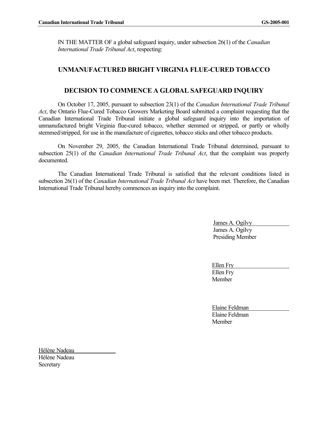IN THE MATTER OF a global safeguard inquiry, under subsection 26(1) of the *Canadian International Trade Tribunal Act*, respecting:

# **UNMANUFACTURED BRIGHT VIRGINIA FLUE-CURED TOBACCO**

# **DECISION TO COMMENCE A GLOBAL SAFEGUARD INQUIRY**

On October 17, 2005, pursuant to subsection 23(1) of the *Canadian International Trade Tribunal Act*, the Ontario Flue-Cured Tobacco Growers Marketing Board submitted a complaint requesting that the Canadian International Trade Tribunal initiate a global safeguard inquiry into the importation of unmanufactured bright Virginia flue-cured tobacco, whether stemmed or stripped, or partly or wholly stemmed/stripped, for use in the manufacture of cigarettes, tobacco sticks and other tobacco products.

On November 29, 2005, the Canadian International Trade Tribunal determined, pursuant to subsection 25(1) of the *Canadian International Trade Tribunal Act*, that the complaint was properly documented.

The Canadian International Trade Tribunal is satisfied that the relevant conditions listed in subsection 26(1) of the *Canadian International Trade Tribunal Act* have been met. Therefore, the Canadian International Trade Tribunal hereby commences an inquiry into the complaint.

> James A. Ogilvy James A. Ogilvy Presiding Member

Ellen Fry Ellen Fry Member

Elaine Feldman Elaine Feldman **Member** 

Hélène Nadeau Hélène Nadeau **Secretary**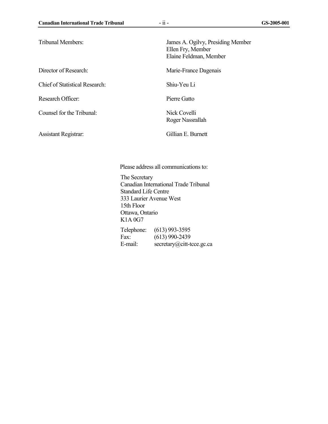Chief of Statistical Research: Shiu-Yeu Li

Research Officer: Pierre Gatto

Counsel for the Tribunal: Nick Covelli

Assistant Registrar: Gillian E. Burnett

Tribunal Members: James A. Ogilvy, Presiding Member Ellen Fry, Member Elaine Feldman, Member

Director of Research: Marie-France Dagenais

Roger Nassrallah

Please address all communications to: The Secretary Canadian International Trade Tribunal Standard Life Centre 333 Laurier Avenue West 15th Floor Ottawa, Ontario K1A 0G7 Telephone: (613) 993-3595

Fax: (613) 990-2439 E-mail: secretary@citt-tcce.gc.ca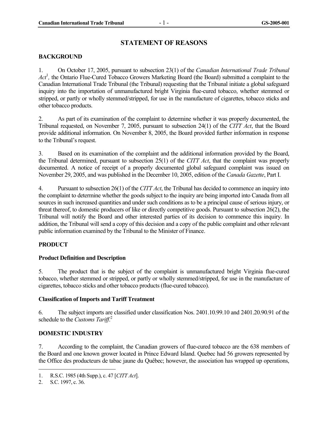# **STATEMENT OF REASONS**

#### **BACKGROUND**

1. On October 17, 2005, pursuant to subsection 23(1) of the *Canadian International Trade Tribunal*  Act<sup>1</sup>, the Ontario Flue-Cured Tobacco Growers Marketing Board (the Board) submitted a complaint to the Canadian International Trade Tribunal (the Tribunal) requesting that the Tribunal initiate a global safeguard inquiry into the importation of unmanufactured bright Virginia flue-cured tobacco, whether stemmed or stripped, or partly or wholly stemmed/stripped, for use in the manufacture of cigarettes, tobacco sticks and other tobacco products.

2. As part of its examination of the complaint to determine whether it was properly documented, the Tribunal requested, on November 7, 2005, pursuant to subsection 24(1) of the *CITT Act*, that the Board provide additional information. On November 8, 2005, the Board provided further information in response to the Tribunal's request.

3. Based on its examination of the complaint and the additional information provided by the Board, the Tribunal determined, pursuant to subsection 25(1) of the *CITT Act*, that the complaint was properly documented. A notice of receipt of a properly documented global safeguard complaint was issued on November 29, 2005, and was published in the December 10, 2005, edition of the *Canada Gazette*, Part I.

4. Pursuant to subsection 26(1) of the *CITT Act*, the Tribunal has decided to commence an inquiry into the complaint to determine whether the goods subject to the inquiry are being imported into Canada from all sources in such increased quantities and under such conditions as to be a principal cause of serious injury, or threat thereof, to domestic producers of like or directly competitive goods. Pursuant to subsection 26(2), the Tribunal will notify the Board and other interested parties of its decision to commence this inquiry. In addition, the Tribunal will send a copy of this decision and a copy of the public complaint and other relevant public information examined by the Tribunal to the Minister of Finance.

# **PRODUCT**

# **Product Definition and Description**

5. The product that is the subject of the complaint is unmanufactured bright Virginia flue-cured tobacco, whether stemmed or stripped, or partly or wholly stemmed/stripped, for use in the manufacture of cigarettes, tobacco sticks and other tobacco products (flue-cured tobacco).

#### **Classification of Imports and Tariff Treatment**

6. The subject imports are classified under classification Nos. 2401.10.99.10 and 2401.20.90.91 of the schedule to the *Customs Tariff*. 2

# **DOMESTIC INDUSTRY**

7. According to the complaint, the Canadian growers of flue-cured tobacco are the 638 members of the Board and one known grower located in Prince Edward Island. Quebec had 56 growers represented by the Office des producteurs de tabac jaune du Québec; however, the association has wrapped up operations,

 $\overline{a}$ 

<sup>1.</sup> R.S.C. 1985 (4th Supp.), c. 47 [*CITT Act*].

<sup>2.</sup> S.C. 1997, c. 36.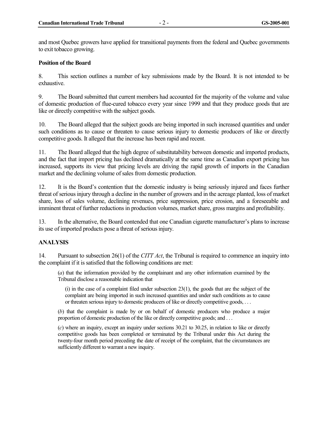and most Quebec growers have applied for transitional payments from the federal and Quebec governments to exit tobacco growing.

#### **Position of the Board**

8. This section outlines a number of key submissions made by the Board. It is not intended to be exhaustive.

9. The Board submitted that current members had accounted for the majority of the volume and value of domestic production of flue-cured tobacco every year since 1999 and that they produce goods that are like or directly competitive with the subject goods.

10. The Board alleged that the subject goods are being imported in such increased quantities and under such conditions as to cause or threaten to cause serious injury to domestic producers of like or directly competitive goods. It alleged that the increase has been rapid and recent.

11. The Board alleged that the high degree of substitutability between domestic and imported products, and the fact that import pricing has declined dramatically at the same time as Canadian export pricing has increased, supports its view that pricing levels are driving the rapid growth of imports in the Canadian market and the declining volume of sales from domestic production.

12. It is the Board's contention that the domestic industry is being seriously injured and faces further threat of serious injury through a decline in the number of growers and in the acreage planted, loss of market share, loss of sales volume, declining revenues, price suppression, price erosion, and a foreseeable and imminent threat of further reductions in production volumes, market share, gross margins and profitability.

13. In the alternative, the Board contended that one Canadian cigarette manufacturer's plans to increase its use of imported products pose a threat of serious injury.

#### **ANALYSIS**

14. Pursuant to subsection 26(1) of the *CITT Act*, the Tribunal is required to commence an inquiry into the complaint if it is satisfied that the following conditions are met:

(*a*) that the information provided by the complainant and any other information examined by the Tribunal disclose a reasonable indication that

 $(i)$  in the case of a complaint filed under subsection 23 $(1)$ , the goods that are the subject of the complaint are being imported in such increased quantities and under such conditions as to cause or threaten serious injury to domestic producers of like or directly competitive goods, . . .

(*b*) that the complaint is made by or on behalf of domestic producers who produce a major proportion of domestic production of the like or directly competitive goods; and . . .

(*c*) where an inquiry, except an inquiry under sections 30.21 to 30.25, in relation to like or directly competitive goods has been completed or terminated by the Tribunal under this Act during the twenty-four month period preceding the date of receipt of the complaint, that the circumstances are sufficiently different to warrant a new inquiry.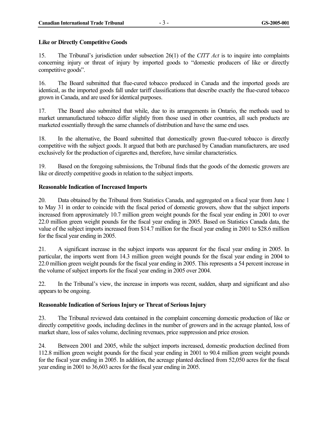#### **Like or Directly Competitive Goods**

15. The Tribunal's jurisdiction under subsection 26(1) of the *CITT Act* is to inquire into complaints concerning injury or threat of injury by imported goods to "domestic producers of like or directly competitive goods".

16. The Board submitted that flue-cured tobacco produced in Canada and the imported goods are identical, as the imported goods fall under tariff classifications that describe exactly the flue-cured tobacco grown in Canada, and are used for identical purposes.

17. The Board also submitted that while, due to its arrangements in Ontario, the methods used to market unmanufactured tobacco differ slightly from those used in other countries, all such products are marketed essentially through the same channels of distribution and have the same end uses.

18. In the alternative, the Board submitted that domestically grown flue-cured tobacco is directly competitive with the subject goods. It argued that both are purchased by Canadian manufacturers, are used exclusively for the production of cigarettes and, therefore, have similar characteristics.

19. Based on the foregoing submissions, the Tribunal finds that the goods of the domestic growers are like or directly competitive goods in relation to the subject imports.

#### **Reasonable Indication of Increased Imports**

20. Data obtained by the Tribunal from Statistics Canada, and aggregated on a fiscal year from June 1 to May 31 in order to coincide with the fiscal period of domestic growers, show that the subject imports increased from approximately 10.7 million green weight pounds for the fiscal year ending in 2001 to over 22.0 million green weight pounds for the fiscal year ending in 2005. Based on Statistics Canada data, the value of the subject imports increased from \$14.7 million for the fiscal year ending in 2001 to \$28.6 million for the fiscal year ending in 2005.

21. A significant increase in the subject imports was apparent for the fiscal year ending in 2005. In particular, the imports went from 14.3 million green weight pounds for the fiscal year ending in 2004 to 22.0 million green weight pounds for the fiscal year ending in 2005. This represents a 54 percent increase in the volume of subject imports for the fiscal year ending in 2005 over 2004.

22. In the Tribunal's view, the increase in imports was recent, sudden, sharp and significant and also appears to be ongoing.

# **Reasonable Indication of Serious Injury or Threat of Serious Injury**

23. The Tribunal reviewed data contained in the complaint concerning domestic production of like or directly competitive goods, including declines in the number of growers and in the acreage planted, loss of market share, loss of sales volume, declining revenues, price suppression and price erosion.

24. Between 2001 and 2005, while the subject imports increased, domestic production declined from 112.8 million green weight pounds for the fiscal year ending in 2001 to 90.4 million green weight pounds for the fiscal year ending in 2005. In addition, the acreage planted declined from 52,050 acres for the fiscal year ending in 2001 to 36,603 acres for the fiscal year ending in 2005.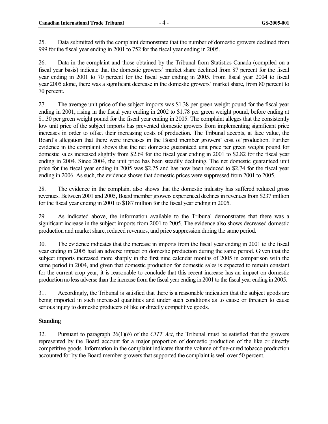25. Data submitted with the complaint demonstrate that the number of domestic growers declined from 999 for the fiscal year ending in 2001 to 752 for the fiscal year ending in 2005.

26. Data in the complaint and those obtained by the Tribunal from Statistics Canada (compiled on a fiscal year basis) indicate that the domestic growers' market share declined from 87 percent for the fiscal year ending in 2001 to 70 percent for the fiscal year ending in 2005. From fiscal year 2004 to fiscal year 2005 alone, there was a significant decrease in the domestic growers' market share, from 80 percent to 70 percent.

27. The average unit price of the subject imports was \$1.38 per green weight pound for the fiscal year ending in 2001, rising in the fiscal year ending in 2002 to \$1.78 per green weight pound, before ending at \$1.30 per green weight pound for the fiscal year ending in 2005. The complaint alleges that the consistently low unit price of the subject imports has prevented domestic growers from implementing significant price increases in order to offset their increasing costs of production. The Tribunal accepts, at face value, the Board's allegation that there were increases in the Board member growers' cost of production. Further evidence in the complaint shows that the net domestic guaranteed unit price per green weight pound for domestic sales increased slightly from \$2.69 for the fiscal year ending in 2001 to \$2.82 for the fiscal year ending in 2004. Since 2004, the unit price has been steadily declining. The net domestic guaranteed unit price for the fiscal year ending in 2005 was \$2.75 and has now been reduced to \$2.74 for the fiscal year ending in 2006. As such, the evidence shows that domestic prices were suppressed from 2001 to 2005.

28. The evidence in the complaint also shows that the domestic industry has suffered reduced gross revenues. Between 2001 and 2005, Board member growers experienced declines in revenues from \$237 million for the fiscal year ending in 2001 to \$187 million for the fiscal year ending in 2005.

29. As indicated above, the information available to the Tribunal demonstrates that there was a significant increase in the subject imports from 2001 to 2005. The evidence also shows decreased domestic production and market share, reduced revenues, and price suppression during the same period.

30. The evidence indicates that the increase in imports from the fiscal year ending in 2001 to the fiscal year ending in 2005 had an adverse impact on domestic production during the same period. Given that the subject imports increased more sharply in the first nine calendar months of 2005 in comparison with the same period in 2004, and given that domestic production for domestic sales is expected to remain constant for the current crop year, it is reasonable to conclude that this recent increase has an impact on domestic production no less adverse than the increase from the fiscal year ending in 2001 to the fiscal year ending in 2005.

31. Accordingly, the Tribunal is satisfied that there is a reasonable indication that the subject goods are being imported in such increased quantities and under such conditions as to cause or threaten to cause serious injury to domestic producers of like or directly competitive goods.

# **Standing**

32. Pursuant to paragraph 26(1)(*b*) of the *CITT Act*, the Tribunal must be satisfied that the growers represented by the Board account for a major proportion of domestic production of the like or directly competitive goods. Information in the complaint indicates that the volume of flue-cured tobacco production accounted for by the Board member growers that supported the complaint is well over 50 percent.